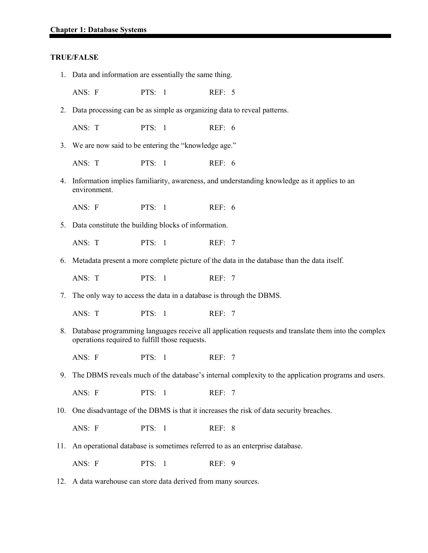#### **TRUE/FALSE**

- 1. Data and information are essentially the same thing.
	- ANS: F PTS: 1 REF: 5
- 2. Data processing can be as simple as organizing data to reveal patterns.
	- ANS: T PTS: 1 REF: 6
- 3. We are now said to be entering the "knowledge age."
	- ANS: T PTS: 1 REF: 6
- 4. Information implies familiarity, awareness, and understanding knowledge as it applies to an environment.
	- ANS: F PTS: 1 REF: 6
- 5. Data constitute the building blocks of information.
	- ANS: T PTS: 1 REF: 7
- 6. Metadata present a more complete picture of the data in the database than the data itself.

ANS: T PTS: 1 REF: 7

7. The only way to access the data in a database is through the DBMS.

ANS: T PTS: 1 REF: 7

- 8. Database programming languages receive all application requests and translate them into the complex operations required to fulfill those requests.
	- ANS: F PTS: 1 REF: 7
- 9. The DBMS reveals much of the database's internal complexity to the application programs and users.

ANS: F PTS: 1 REF: 7

10. One disadvantage of the DBMS is that it increases the risk of data security breaches.

ANS: F PTS: 1 REF: 8

11. An operational database is sometimes referred to as an enterprise database.

ANS: F PTS: 1 REF: 9

12. A data warehouse can store data derived from many sources.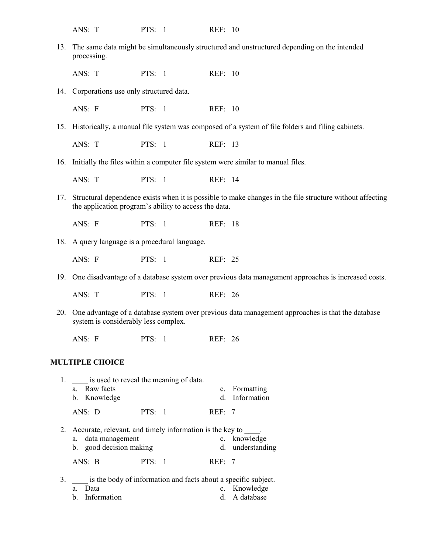ANS: T PTS: 1 REF: 10 13. The same data might be simultaneously structured and unstructured depending on the intended processing. ANS: T PTS: 1 REF: 10 14. Corporations use only structured data. ANS: F PTS: 1 REF: 10 15. Historically, a manual file system was composed of a system of file folders and filing cabinets. ANS: T PTS: 1 REF: 13 16. Initially the files within a computer file system were similar to manual files. ANS: T PTS: 1 REF: 14 17. Structural dependence exists when it is possible to make changes in the file structure without affecting the application program's ability to access the data. ANS: F PTS: 1 REF: 18 18. A query language is a procedural language. ANS: F PTS: 1 REF: 25 19. One disadvantage of a database system over previous data management approaches is increased costs. ANS: T PTS: 1 REF: 26 20. One advantage of a database system over previous data management approaches is that the database system is considerably less complex. ANS: F PTS: 1 REF: 26 **MULTIPLE CHOICE** 1. is used to reveal the meaning of data. a. Raw facts c. Formatting b. Knowledge d. Information ANS: D PTS: 1 REF: 7 2. Accurate, relevant, and timely information is the key to  $\frac{1}{\csc}$ . knowledge a. data management b. good decision making d. understanding ANS: B PTS: 1 REF: 7

3. \_\_\_\_ is the body of information and facts about a specific subject. a. Data c. Knowledge b. Information d. A database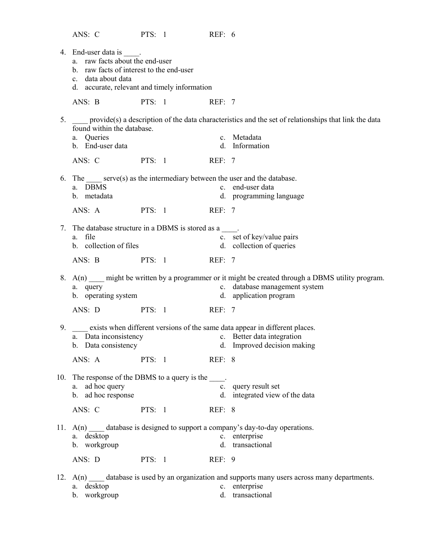ANS: C PTS: 1 REF: 6

|     | 4. End-user data is .<br>a. raw facts about the end-user<br>b. raw facts of interest to the end-user<br>c. data about data<br>d. accurate, relevant and timely information |          |                      |        |                                                                                                                                                            |
|-----|----------------------------------------------------------------------------------------------------------------------------------------------------------------------------|----------|----------------------|--------|------------------------------------------------------------------------------------------------------------------------------------------------------------|
|     | ANS: B<br><b>PTS:</b> 1                                                                                                                                                    |          |                      | REF: 7 |                                                                                                                                                            |
| 5.  | found within the database.<br>a. Queries<br>b. End-user data                                                                                                               |          |                      |        | provide(s) a description of the data characteristics and the set of relationships that link the data<br>c. Metadata<br>d. Information                      |
|     | ANS: C                                                                                                                                                                     |          | <b>PTS:</b> 1 REF: 7 |        |                                                                                                                                                            |
|     | 6. The serve(s) as the intermediary between the user and the database.<br>a. DBMS<br>b. metadata<br>ANS: A                                                                 |          | <b>PTS:</b> 1 REF: 7 |        | c. end-user data<br>d. programming language                                                                                                                |
| 7.  | The database structure in a DBMS is stored as a<br>a. file<br>b. collection of files                                                                                       |          |                      |        | c. set of key/value pairs<br>d. collection of queries                                                                                                      |
|     | ANS: B PTS: 1 REF: 7                                                                                                                                                       |          |                      |        |                                                                                                                                                            |
|     | a. query<br>b. operating system                                                                                                                                            |          |                      |        | 8. A(n) might be written by a programmer or it might be created through a DBMS utility program.<br>c. database management system<br>d. application program |
|     | ANS: D PTS: 1 REF: 7                                                                                                                                                       |          |                      |        |                                                                                                                                                            |
|     | a. Data inconsistency<br>b. Data consistency                                                                                                                               |          |                      |        | 9. exists when different versions of the same data appear in different places.<br>c. Better data integration<br>d. Improved decision making                |
|     | ANS: A                                                                                                                                                                     | PTS: $1$ |                      | REF: 8 |                                                                                                                                                            |
|     | 10. The response of the DBMS to a query is the<br>ad hoc query<br>a.<br>b. ad hoc response                                                                                 |          |                      |        | c. query result set<br>d. integrated view of the data                                                                                                      |
|     | ANS: C                                                                                                                                                                     | PTS: 1   |                      | REF: 8 |                                                                                                                                                            |
| 11. | a. desktop<br>b. workgroup<br>ANS: D                                                                                                                                       | PTS: 1   |                      | REF: 9 | $A(n)$ database is designed to support a company's day-to-day operations.<br>c. enterprise<br>d. transactional                                             |
|     | a. desktop<br>workgroup<br>$\mathbf{b}$ .                                                                                                                                  |          |                      |        | 12. $A(n)$ database is used by an organization and supports many users across many departments.<br>c. enterprise<br>d. transactional                       |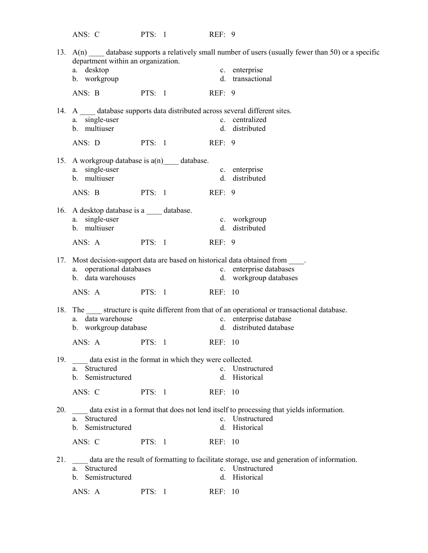ANS: C PTS: 1 REF: 9 13.  $A(n)$  database supports a relatively small number of users (usually fewer than 50) or a specific department within an organization. a. desktop c. enterprise b. workgroup d. transactional ANS: B PTS: 1 REF: 9 14. A database supports data distributed across several different sites. a. single-user c. centralized<br>b. multiuser d. distributed d. distributed ANS: D PTS: 1 REF: 9 15. A workgroup database is  $a(n)$  database. a. single-user c. enterprise b. multiuser d. distributed ANS: B PTS: 1 REF: 9 16. A desktop database is a \_\_\_\_\_ database. a. single-user c. workgroup b. multiuser d. distributed ANS: A PTS: 1 REF: 9 17. Most decision-support data are based on historical data obtained from \_\_\_\_\_. a. operational databases c. enterprise databases b. data warehouses d. workgroup databases ANS: A PTS: 1 REF: 10 18. The structure is quite different from that of an operational or transactional database. a. data warehouse c. enterprise database b. workgroup database d. distributed database ANS: A PTS: 1 REF: 10 19. data exist in the format in which they were collected. a. Structured c. Unstructured b. Semistructured d. Historical ANS: C PTS: 1 REF: 10 20. \_\_\_\_ data exist in a format that does not lend itself to processing that yields information. a. Structured c. Unstructured b. Semistructured d. Historical ANS: C PTS: 1 REF: 10 21. \_\_\_\_ data are the result of formatting to facilitate storage, use and generation of information. a. Structured c. Unstructured b. Semistructured d. Historical ANS: A PTS: 1 REF: 10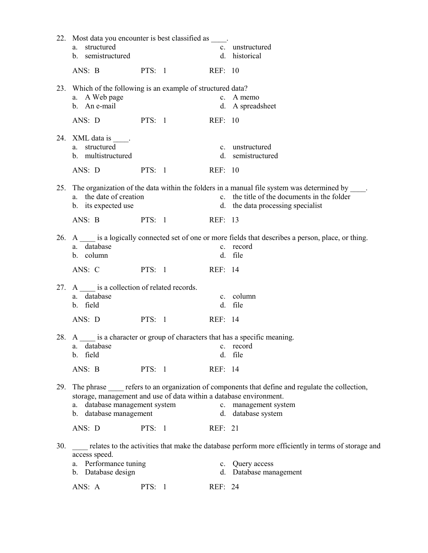|     | 22. Most data you encounter is best classified as .<br>structured<br>a.<br>b. semistructured                                     |          |           |         | c. unstructured<br>d. historical                                                                                                                                                         |  |
|-----|----------------------------------------------------------------------------------------------------------------------------------|----------|-----------|---------|------------------------------------------------------------------------------------------------------------------------------------------------------------------------------------------|--|
|     | ANS: B                                                                                                                           | PTS: 1   |           | REF: 10 |                                                                                                                                                                                          |  |
|     | 23. Which of the following is an example of structured data?<br>a. A Web page<br>b. An e-mail                                    |          |           |         | c. A memo<br>d. A spreadsheet                                                                                                                                                            |  |
|     | ANS: D PTS: 1                                                                                                                    |          |           | REF: 10 |                                                                                                                                                                                          |  |
|     | 24. XML data is _____.<br>a. structured<br>b. multistructured                                                                    |          |           |         | c. unstructured<br>d. semistructured                                                                                                                                                     |  |
|     | ANS: D                                                                                                                           | PTS: 1   |           | REF: 10 |                                                                                                                                                                                          |  |
|     | a. the date of creation<br>b. its expected use                                                                                   |          |           |         | 25. The organization of the data within the folders in a manual file system was determined by _____.<br>c. the title of the documents in the folder<br>d. the data processing specialist |  |
|     | ANS: B                                                                                                                           | PTS: 1   |           | REF: 13 |                                                                                                                                                                                          |  |
|     | a. database<br>b. column                                                                                                         |          |           |         | 26. A is a logically connected set of one or more fields that describes a person, place, or thing.<br>c. record<br>d. file                                                               |  |
|     | ANS: C                                                                                                                           | PTS: 1   |           | REF: 14 |                                                                                                                                                                                          |  |
|     | 27. A is a collection of related records.<br>database<br>a.<br>b. field                                                          |          |           |         | c. column<br>d. file                                                                                                                                                                     |  |
|     | ANS: D PTS: 1                                                                                                                    |          |           | REF: 14 |                                                                                                                                                                                          |  |
|     | a. database<br>b. field                                                                                                          |          | c. record |         | 28. A is a character or group of characters that has a specific meaning.<br>d. file                                                                                                      |  |
|     | ANS: B                                                                                                                           | PTS: 1   |           | REF: 14 |                                                                                                                                                                                          |  |
| 29. | storage, management and use of data within a database environment.<br>database management system<br>a.<br>b. database management |          |           |         | The phrase refers to an organization of components that define and regulate the collection,<br>c. management system<br>d. database system                                                |  |
|     | ANS: D                                                                                                                           | PTS: $1$ |           | REF: 21 |                                                                                                                                                                                          |  |
| 30. | relates to the activities that make the database perform more efficiently in terms of storage and<br>access speed.               |          |           |         |                                                                                                                                                                                          |  |
|     | a. Performance tuning<br>b. Database design                                                                                      |          |           |         | c. Query access<br>d. Database management                                                                                                                                                |  |
|     | ANS: A                                                                                                                           | PTS: $1$ |           | REF: 24 |                                                                                                                                                                                          |  |
|     |                                                                                                                                  |          |           |         |                                                                                                                                                                                          |  |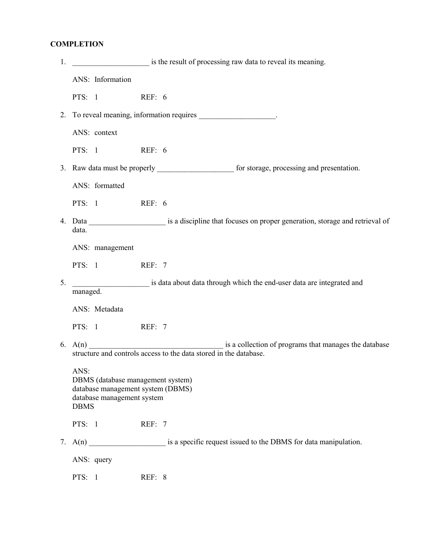# **COMPLETION**

| 1. | is the result of processing raw data to reveal its meaning.                                                                                         |  |  |  |
|----|-----------------------------------------------------------------------------------------------------------------------------------------------------|--|--|--|
|    | ANS: Information                                                                                                                                    |  |  |  |
|    | PTS: 1 REF: 6                                                                                                                                       |  |  |  |
|    | 2. To reveal meaning, information requires ___________________.                                                                                     |  |  |  |
|    | ANS: context                                                                                                                                        |  |  |  |
|    | REF: 6<br>PTS: 1                                                                                                                                    |  |  |  |
|    | 3. Raw data must be properly _________________________ for storage, processing and presentation.                                                    |  |  |  |
|    | ANS: formatted                                                                                                                                      |  |  |  |
|    | PTS: 1 REF: 6                                                                                                                                       |  |  |  |
|    | 4. Data ________________________ is a discipline that focuses on proper generation, storage and retrieval of<br>data.                               |  |  |  |
|    | ANS: management                                                                                                                                     |  |  |  |
|    | PTS: 1 REF: 7                                                                                                                                       |  |  |  |
| 5. | is data about data through which the end-user data are integrated and<br>managed.                                                                   |  |  |  |
|    | ANS: Metadata                                                                                                                                       |  |  |  |
|    | PTS: 1 REF: 7                                                                                                                                       |  |  |  |
|    | 6. $A(n)$ $\overline{A(n)}$ is a collection of programs that manages the database structure and controls access to the data stored in the database. |  |  |  |
|    | ANS:<br>DBMS (database management system)<br>database management system (DBMS)<br>database management system<br><b>DBMS</b>                         |  |  |  |
|    | PTS: 1<br>REF: 7                                                                                                                                    |  |  |  |
|    |                                                                                                                                                     |  |  |  |
|    | ANS: query                                                                                                                                          |  |  |  |
|    | PTS: 1<br>REF: 8                                                                                                                                    |  |  |  |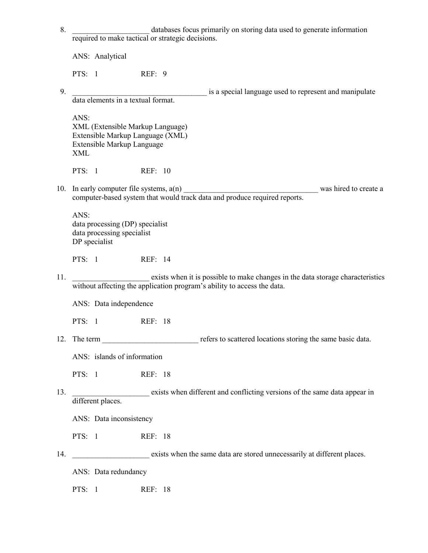| 8.  | databases focus primarily on storing data used to generate information                                                                                    |
|-----|-----------------------------------------------------------------------------------------------------------------------------------------------------------|
|     | required to make tactical or strategic decisions.                                                                                                         |
|     | ANS: Analytical                                                                                                                                           |
|     | PTS: $1$<br>REF: 9                                                                                                                                        |
| 9.  | is a special language used to represent and manipulate<br>data elements in a textual format.                                                              |
|     |                                                                                                                                                           |
|     | ANS:<br>XML (Extensible Markup Language)<br>Extensible Markup Language (XML)<br>Extensible Markup Language<br><b>XML</b>                                  |
|     | PTS: 1<br><b>REF: 10</b>                                                                                                                                  |
|     | computer-based system that would track data and produce required reports.                                                                                 |
|     | ANS:<br>data processing (DP) specialist<br>data processing specialist<br>DP specialist                                                                    |
|     | PTS: $1$<br>REF: 14                                                                                                                                       |
| 11. | exists when it is possible to make changes in the data storage characteristics<br>without affecting the application program's ability to access the data. |
|     | ANS: Data independence                                                                                                                                    |
|     | PTS: $1$<br>REF: 18                                                                                                                                       |
|     |                                                                                                                                                           |
|     | ANS: islands of information                                                                                                                               |
|     | PTS: 1<br>REF: 18                                                                                                                                         |
| 13. | exists when different and conflicting versions of the same data appear in<br>different places.                                                            |
|     | ANS: Data inconsistency                                                                                                                                   |
|     | PTS: 1<br>REF: 18                                                                                                                                         |
| 14. | exists when the same data are stored unnecessarily at different places.                                                                                   |
|     | ANS: Data redundancy                                                                                                                                      |
|     | PTS: 1<br>REF: 18                                                                                                                                         |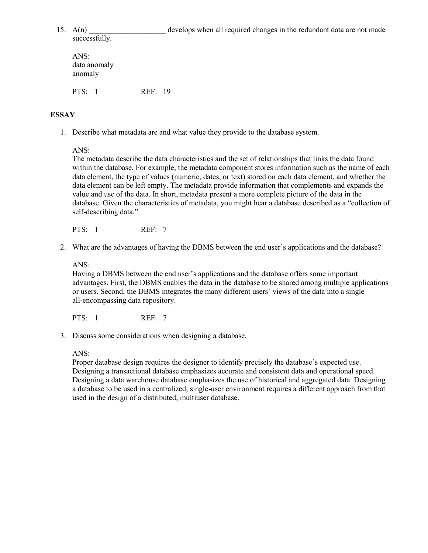successfully.

15.  $A(n)$  develops when all required changes in the redundant data are not made

ANS: data anomaly anomaly PTS: 1 REF: 19

## **ESSAY**

1. Describe what metadata are and what value they provide to the database system.

ANS:

The metadata describe the data characteristics and the set of relationships that links the data found within the database. For example, the metadata component stores information such as the name of each data element, the type of values (numeric, dates, or text) stored on each data element, and whether the data element can be left empty. The metadata provide information that complements and expands the value and use of the data. In short, metadata present a more complete picture of the data in the database. Given the characteristics of metadata, you might hear a database described as a "collection of self-describing data."

PTS: 1 REF: 7

2. What are the advantages of having the DBMS between the end user's applications and the database?

ANS:

Having a DBMS between the end user's applications and the database offers some important advantages. First, the DBMS enables the data in the database to be shared among multiple applications or users. Second, the DBMS integrates the many different users' views of the data into a single all-encompassing data repository.

PTS: 1 REF: 7

3. Discuss some considerations when designing a database.

ANS:

Proper database design requires the designer to identify precisely the database's expected use. Designing a transactional database emphasizes accurate and consistent data and operational speed. Designing a data warehouse database emphasizes the use of historical and aggregated data. Designing a database to be used in a centralized, single-user environment requires a different approach from that used in the design of a distributed, multiuser database.